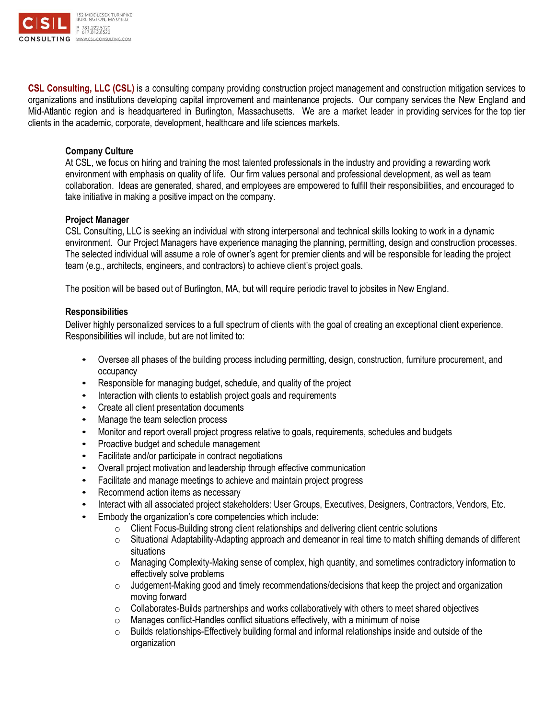

**CSL Consulting, LLC (CSL)** is a consulting company providing construction project management and construction mitigation services to organizations and institutions developing capital improvement and maintenance projects. Our company services the New England and Mid-Atlantic region and is headquartered in Burlington, Massachusetts. We are a market leader in providing services for the top tier clients in the academic, corporate, development, healthcare and life sciences markets.

## **Company Culture**

At CSL, we focus on hiring and training the most talented professionals in the industry and providing a rewarding work environment with emphasis on quality of life. Our firm values personal and professional development, as well as team collaboration. Ideas are generated, shared, and employees are empowered to fulfill their responsibilities, and encouraged to take initiative in making a positive impact on the company.

## **Project Manager**

CSL Consulting, LLC is seeking an individual with strong interpersonal and technical skills looking to work in a dynamic environment. Our Project Managers have experience managing the planning, permitting, design and construction processes. The selected individual will assume a role of owner's agent for premier clients and will be responsible for leading the project team (e.g., architects, engineers, and contractors) to achieve client's project goals.

The position will be based out of Burlington, MA, but will require periodic travel to jobsites in New England.

## **Responsibilities**

Deliver highly personalized services to a full spectrum of clients with the goal of creating an exceptional client experience. Responsibilities will include, but are not limited to:

- Oversee all phases of the building process including permitting, design, construction, furniture procurement, and occupancy
- Responsible for managing budget, schedule, and quality of the project
- Interaction with clients to establish project goals and requirements
- Create all client presentation documents
- Manage the team selection process
- Monitor and report overall project progress relative to goals, requirements, schedules and budgets
- Proactive budget and schedule management
- Facilitate and/or participate in contract negotiations
- Overall project motivation and leadership through effective communication
- Facilitate and manage meetings to achieve and maintain project progress
- Recommend action items as necessary
- Interact with all associated project stakeholders: User Groups, Executives, Designers, Contractors, Vendors, Etc.
- Embody the organization's core competencies which include:
	- o Client Focus-Building strong client relationships and delivering client centric solutions
	- $\circ$  Situational Adaptability-Adapting approach and demeanor in real time to match shifting demands of different situations
	- $\circ$  Managing Complexity-Making sense of complex, high quantity, and sometimes contradictory information to effectively solve problems
	- $\circ$  Judgement-Making good and timely recommendations/decisions that keep the project and organization moving forward
	- $\circ$  Collaborates-Builds partnerships and works collaboratively with others to meet shared objectives
	- o Manages conflict-Handles conflict situations effectively, with a minimum of noise
	- $\circ$  Builds relationships-Effectively building formal and informal relationships inside and outside of the organization